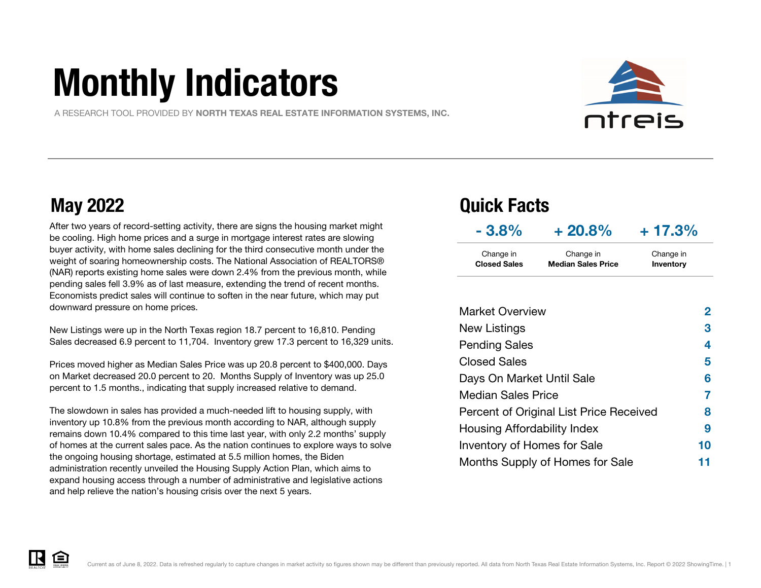# Monthly Indicators

A RESEARCH TOOL PROVIDED BY NORTH TEXAS REAL ESTATE INFORMATION SYSTEMS, INC.



After two years of record-setting activity, there are signs the housing market might be cooling. High home prices and a surge in mortgage interest rates are slowing buyer activity, with home sales declining for the third consecutive month under the weight of soaring homeownership costs. The National Association of REALTORS® (NAR) reports existing home sales were down 2.4% from the previous month, while pending sales fell 3.9% as of last measure, extending the trend of recent months. Economists predict sales will continue to soften in the near future, which may put downward pressure on home prices.

New Listings were up in the North Texas region 18.7 percent to 16,810. Pending Sales decreased 6.9 percent to 11,704. Inventory grew 17.3 percent to 16,329 units.

Prices moved higher as Median Sales Price was up 20.8 percent to \$400,000. Days on Market decreased 20.0 percent to 20. Months Supply of Inventory was up 25.0 percent to 1.5 months., indicating that supply increased relative to demand.

The slowdown in sales has provided a much-needed lift to housing supply, with inventory up 10.8% from the previous month according to NAR, although supply remains down 10.4% compared to this time last year, with only 2.2 months' supply of homes at the current sales pace. As the nation continues to explore ways to solve the ongoing housing shortage, estimated at 5.5 million homes, the Biden administration recently unveiled the Housing Supply Action Plan, which aims to expand housing access through a number of administrative and legislative actions and help relieve the nation's housing crisis over the next 5 years.

### May 2022 Quick Facts

| $-3.8%$             | $+20.8%$                  | $+17.3%$  |
|---------------------|---------------------------|-----------|
| Change in           | Change in                 | Change in |
| <b>Closed Sales</b> | <b>Median Sales Price</b> | Inventory |

| <b>Market Overview</b>                  | 2  |
|-----------------------------------------|----|
| New Listings                            | 3  |
| <b>Pending Sales</b>                    | 4  |
| <b>Closed Sales</b>                     | 5  |
| Days On Market Until Sale               | 6  |
| <b>Median Sales Price</b>               | 7  |
| Percent of Original List Price Received | 8  |
| Housing Affordability Index             | 9  |
| Inventory of Homes for Sale             | 10 |
| Months Supply of Homes for Sale         |    |

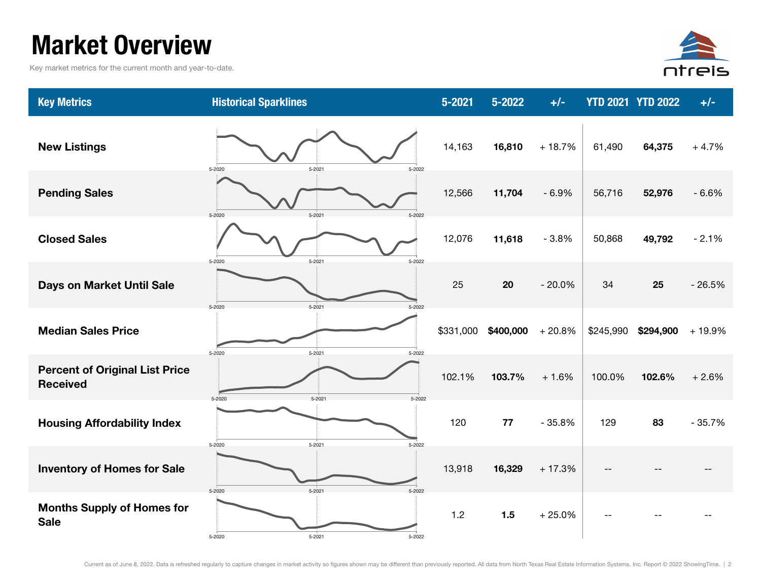### Market Overview

Key market metrics for the current month and year-to-date.



| <b>Key Metrics</b>                                       | <b>Historical Sparklines</b>       | 5-2021    | 5-2022    | $+/-$    |           | <b>YTD 2021 YTD 2022</b> | $+/-$    |
|----------------------------------------------------------|------------------------------------|-----------|-----------|----------|-----------|--------------------------|----------|
| <b>New Listings</b>                                      | 5-2020<br>$5 - 2021$<br>5-2022     | 14,163    | 16,810    | $+18.7%$ | 61,490    | 64,375                   | $+4.7%$  |
| <b>Pending Sales</b>                                     | 5-2021<br>5-2020<br>5-2022         | 12,566    | 11,704    | $-6.9%$  | 56,716    | 52,976                   | $-6.6%$  |
| <b>Closed Sales</b>                                      | $5 - 2021$<br>5-2022<br>5-2020     | 12,076    | 11,618    | $-3.8%$  | 50,868    | 49,792                   | $-2.1%$  |
| <b>Days on Market Until Sale</b>                         | $5 - 2021$<br>5-2020<br>5-2022     | 25        | 20        | $-20.0%$ | 34        | 25                       | $-26.5%$ |
| <b>Median Sales Price</b>                                | $5 - 2021$<br>5-2022<br>$5 - 2020$ | \$331,000 | \$400,000 | $+20.8%$ | \$245,990 | \$294,900                | + 19.9%  |
| <b>Percent of Original List Price</b><br><b>Received</b> | $5 - 2021$<br>5-2022<br>5-2020     | 102.1%    | 103.7%    | $+1.6%$  | 100.0%    | 102.6%                   | $+2.6%$  |
| <b>Housing Affordability Index</b>                       | 5-2020<br>$5 - 2021$<br>5-2022     | 120       | 77        | $-35.8%$ | 129       | 83                       | $-35.7%$ |
| <b>Inventory of Homes for Sale</b>                       | $5 - 2022$<br>5-2020<br>$5 - 2021$ | 13,918    | 16,329    | $+17.3%$ |           |                          |          |
| <b>Months Supply of Homes for</b><br><b>Sale</b>         | 5-2020<br>5-2021<br>5-2022         | 1.2       | 1.5       | $+25.0%$ |           |                          |          |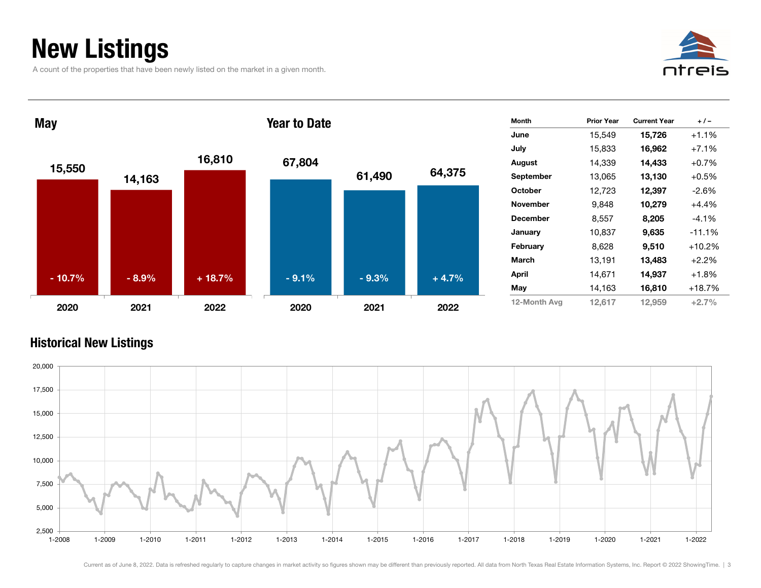### New Listings

A count of the properties that have been newly listed on the market in a given month.





#### Historical New Listings

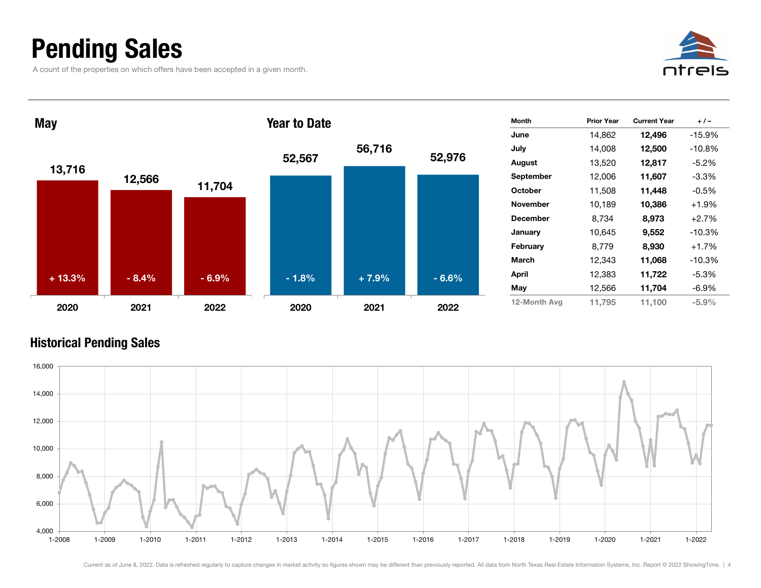### Pending Sales

A count of the properties on which offers have been accepted in a given month.





#### Historical Pending Sales

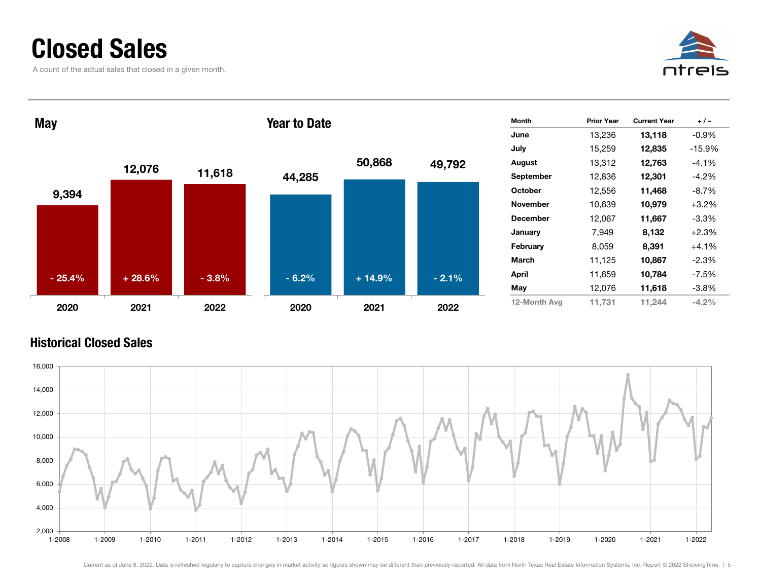### Closed Sales

A count of the actual sales that closed in a given month.





#### Historical Closed Sales

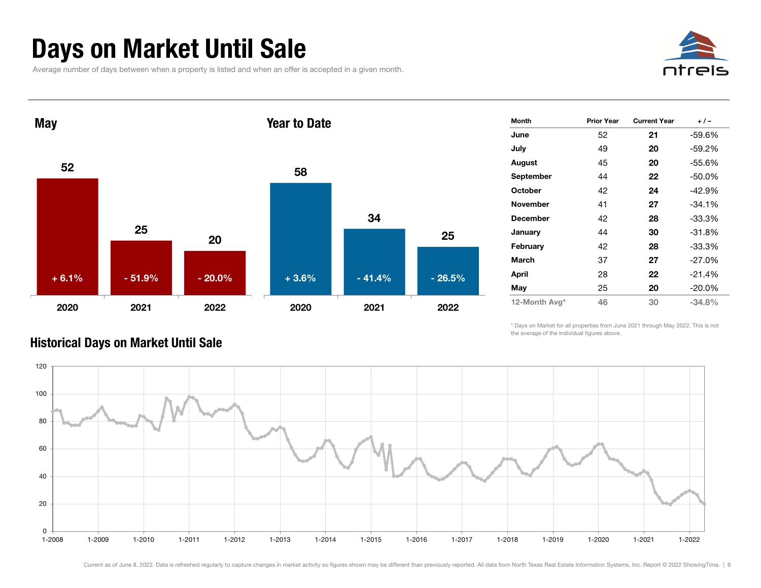### Days on Market Until Sale

Average number of days between when a property is listed and when an offer is accepted in a given month.





| Month           | <b>Prior Year</b> | <b>Current Year</b> | $+/-$     |
|-----------------|-------------------|---------------------|-----------|
| June            | 52                | 21                  | -59.6%    |
| July            | 49                | 20                  | -59.2%    |
| August          | 45                | 20                  | $-55.6%$  |
| September       | 44                | 22                  | -50.0%    |
| <b>October</b>  | 42                | 24                  | $-42.9%$  |
| <b>November</b> | 41                | 27                  | $-34.1%$  |
| <b>December</b> | 42                | 28                  | -33.3%    |
| January         | 44                | 30                  | $-31.8%$  |
| February        | 42                | 28                  | $-33.3%$  |
| <b>March</b>    | 37                | 27                  | $-27.0%$  |
| April           | 28                | 22                  | $-21.4%$  |
| May             | 25                | 20                  | $-20.0\%$ |
| 12-Month Avg*   | 46                | 30                  | $-34.8%$  |

\* Days on Market for all properties from June 2021 through May 2022. This is not the average of the individual figures above.



#### Historical Days on Market Until Sale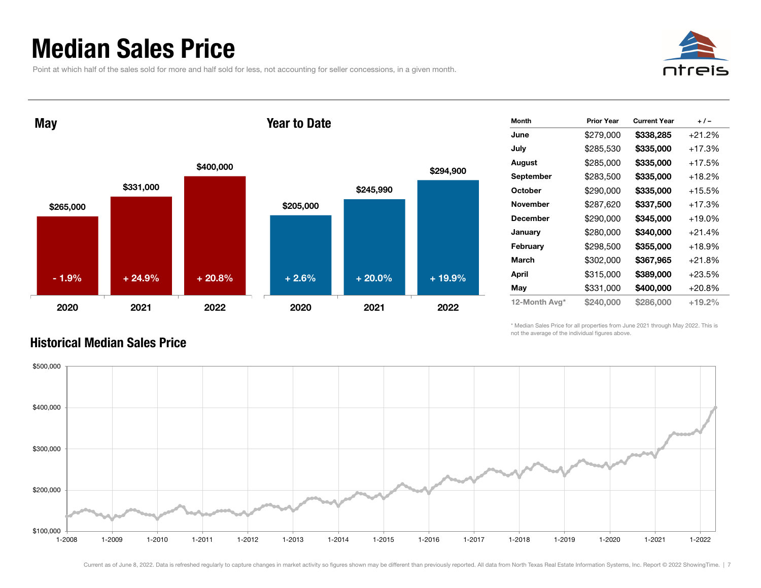### Median Sales Price

Point at which half of the sales sold for more and half sold for less, not accounting for seller concessions, in a given month.



**May** 

#### Year to Date



| Month           | <b>Prior Year</b> | <b>Current Year</b> | + / -    |
|-----------------|-------------------|---------------------|----------|
| June            | \$279,000         | \$338,285           | $+21.2%$ |
| July            | \$285,530         | \$335,000           | +17.3%   |
| August          | \$285,000         | \$335,000           | +17.5%   |
| September       | \$283,500         | \$335,000           | +18.2%   |
| October         | \$290,000         | \$335,000           | +15.5%   |
| <b>November</b> | \$287,620         | \$337,500           | +17.3%   |
| <b>December</b> | \$290,000         | \$345,000           | +19.0%   |
| January         | \$280,000         | \$340,000           | $+21.4%$ |
| February        | \$298,500         | \$355,000           | +18.9%   |
| March           | \$302,000         | \$367,965           | $+21.8%$ |
| April           | \$315,000         | \$389,000           | $+23.5%$ |
| May             | \$331,000         | \$400,000           | $+20.8%$ |
| 12-Month Avg*   | \$240,000         | \$286,000           | $+19.2%$ |

\* Median Sales Price for all properties from June 2021 through May 2022. This is not the average of the individual figures above.



#### Historical Median Sales Price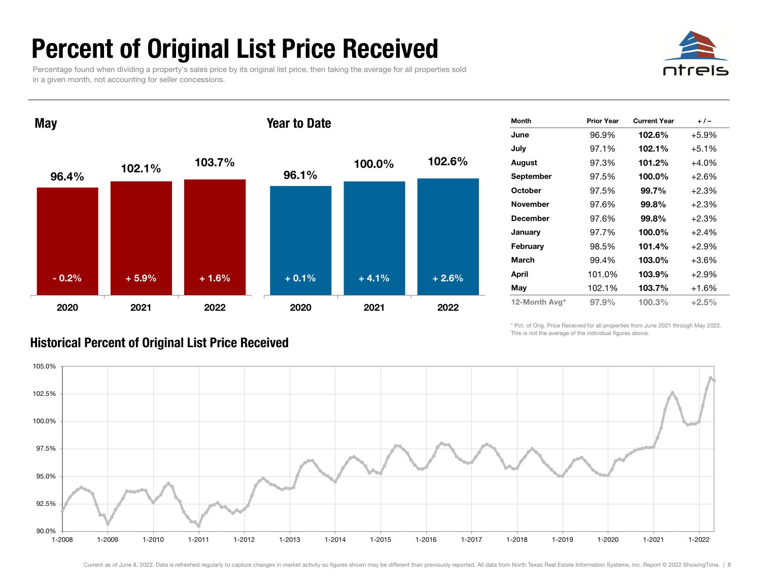### Percent of Original List Price Received

Percentage found when dividing a property's sales price by its original list price, then taking the average for all properties sold in a given month, not accounting for seller concessions.



**May** 

#### Year to Date



| <b>Month</b>    | <b>Prior Year</b> | <b>Current Year</b> | $+/-$   |
|-----------------|-------------------|---------------------|---------|
| June            | 96.9%             | 102.6%              | $+5.9%$ |
| July            | 97.1%             | 102.1%              | $+5.1%$ |
| August          | 97.3%             | 101.2%              | +4.0%   |
| September       | 97.5%             | 100.0%              | $+2.6%$ |
| <b>October</b>  | 97.5%             | 99.7%               | $+2.3%$ |
| <b>November</b> | 97.6%             | 99.8%               | $+2.3%$ |
| <b>December</b> | 97.6%             | 99.8%               | +2.3%   |
| January         | 97.7%             | 100.0%              | $+2.4%$ |
| February        | 98.5%             | 101.4%              | $+2.9%$ |
| March           | 99.4%             | 103.0%              | +3.6%   |
| April           | 101.0%            | 103.9%              | $+2.9%$ |
| May             | 102.1%            | 103.7%              | +1.6%   |
| 12-Month Avg*   | 97.9%             | 100.3%              | $+2.5%$ |

\* Pct. of Orig. Price Received for all properties from June 2021 through May 2022. This is not the average of the individual figures above.



### Historical Percent of Original List Price Received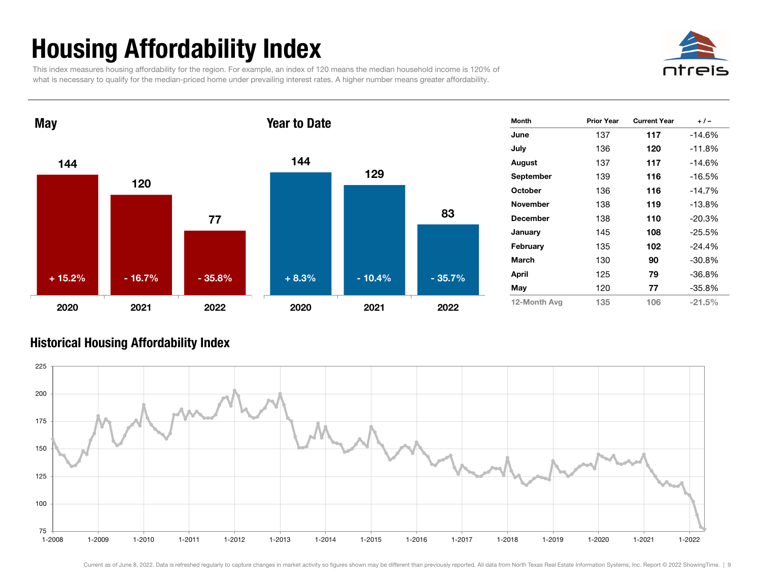## Housing Affordability Index

This index measures housing affordability for the region. For example, an index of 120 means the median household income is 120% of what is necessary to qualify for the median-priced home under prevailing interest rates. A higher number means greater affordability.





| Month           | <b>Prior Year</b> | <b>Current Year</b> | $+/-$    |
|-----------------|-------------------|---------------------|----------|
| June            | 137               | 117                 | $-14.6%$ |
| July            | 136               | 120                 | $-11.8%$ |
| August          | 137               | 117                 | $-14.6%$ |
| September       | 139               | 116                 | $-16.5%$ |
| <b>October</b>  | 136               | 116                 | $-14.7%$ |
| <b>November</b> | 138               | 119                 | $-13.8%$ |
| <b>December</b> | 138               | 110                 | $-20.3%$ |
| January         | 145               | 108                 | -25.5%   |
| February        | 135               | 102                 | $-24.4%$ |
| March           | 130               | 90                  | $-30.8%$ |
| April           | 125               | 79                  | $-36.8%$ |
| May             | 120               | 77                  | $-35.8%$ |
| 12-Month Ava    | 135               | 106                 | $-21.5%$ |

#### Historical Housing Affordability Inde x

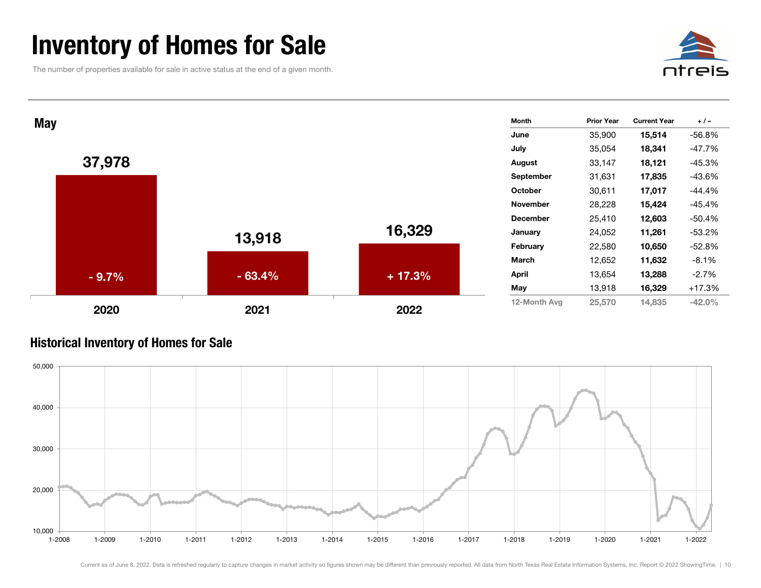### Inventory of Homes for Sale

The number of properties available for sale in active status at the end of a given month.





#### Historical Inventory of Homes for Sale